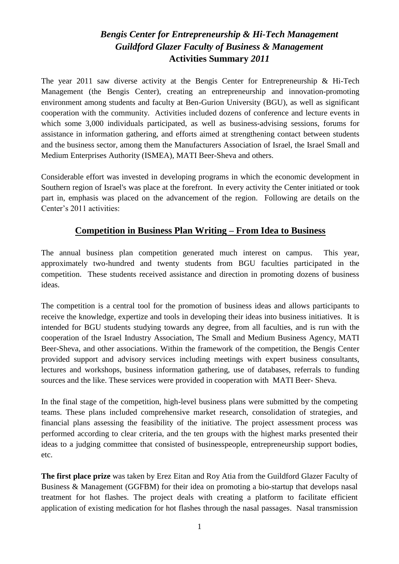# *Bengis Center for Entrepreneurship & Hi-Tech Management Guildford Glazer Faculty of Business & Management*  **Activities Summary** *2011*

The year 2011 saw diverse activity at the Bengis Center for Entrepreneurship & Hi-Tech Management (the Bengis Center), creating an entrepreneurship and innovation-promoting environment among students and faculty at Ben-Gurion University (BGU), as well as significant cooperation with the community. Activities included dozens of conference and lecture events in which some 3,000 individuals participated, as well as business-advising sessions, forums for assistance in information gathering, and efforts aimed at strengthening contact between students and the business sector, among them the Manufacturers Association of Israel, the Israel Small and Medium Enterprises Authority (ISMEA), MATI Beer-Sheva and others.

Considerable effort was invested in developing programs in which the economic development in Southern region of Israel's was place at the forefront. In every activity the Center initiated or took part in, emphasis was placed on the advancement of the region. Following are details on the Center's 2011 activities:

## **Competition in Business Plan Writing – From Idea to Business**

The annual business plan competition generated much interest on campus. This year, approximately two-hundred and twenty students from BGU faculties participated in the competition. These students received assistance and direction in promoting dozens of business ideas.

The competition is a central tool for the promotion of business ideas and allows participants to receive the knowledge, expertize and tools in developing their ideas into business initiatives. It is intended for BGU students studying towards any degree, from all faculties, and is run with the cooperation of the Israel Industry Association, The Small and Medium Business Agency, MATI Beer-Sheva, and other associations. Within the framework of the competition, the Bengis Center provided support and advisory services including meetings with expert business consultants, lectures and workshops, business information gathering, use of databases, referrals to funding sources and the like. These services were provided in cooperation with MATI Beer- Sheva.

In the final stage of the competition, high-level business plans were submitted by the competing teams. These plans included comprehensive market research, consolidation of strategies, and financial plans assessing the feasibility of the initiative. The project assessment process was performed according to clear criteria, and the ten groups with the highest marks presented their ideas to a judging committee that consisted of businesspeople, entrepreneurship support bodies, etc.

**The first place prize** was taken by Erez Eitan and Roy Atia from the Guildford Glazer Faculty of Business & Management (GGFBM) for their idea on promoting a bio-startup that develops nasal treatment for hot flashes. The project deals with creating a platform to facilitate efficient application of existing medication for hot flashes through the nasal passages. Nasal transmission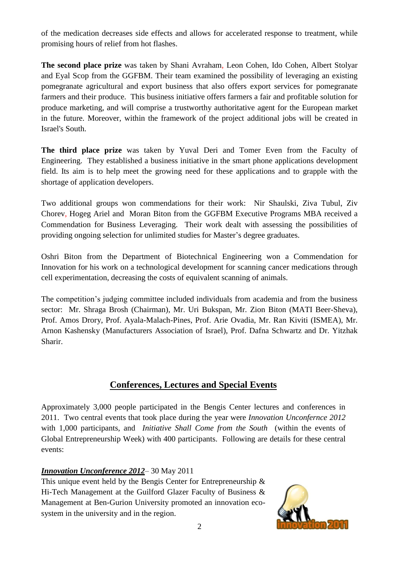of the medication decreases side effects and allows for accelerated response to treatment, while promising hours of relief from hot flashes.

**The second place prize** was taken by Shani Avraham, Leon Cohen, Ido Cohen, Albert Stolyar and Eyal Scop from the GGFBM. Their team examined the possibility of leveraging an existing pomegranate agricultural and export business that also offers export services for pomegranate farmers and their produce. This business initiative offers farmers a fair and profitable solution for produce marketing, and will comprise a trustworthy authoritative agent for the European market in the future. Moreover, within the framework of the project additional jobs will be created in Israel's South.

**The third place prize** was taken by Yuval Deri and Tomer Even from the Faculty of Engineering. They established a business initiative in the smart phone applications development field. Its aim is to help meet the growing need for these applications and to grapple with the shortage of application developers.

Two additional groups won commendations for their work: Nir Shaulski, Ziva Tubul, Ziv Chorev, Hogeg Ariel and Moran Biton from the GGFBM Executive Programs MBA received a Commendation for Business Leveraging. Their work dealt with assessing the possibilities of providing ongoing selection for unlimited studies for Master's degree graduates.

Oshri Biton from the Department of Biotechnical Engineering won a Commendation for Innovation for his work on a technological development for scanning cancer medications through cell experimentation, decreasing the costs of equivalent scanning of animals.

The competition's judging committee included individuals from academia and from the business sector: Mr. Shraga Brosh (Chairman), Mr. Uri Bukspan, Mr. Zion Biton (MATI Beer-Sheva), Prof. Amos Drory, Prof. Ayala-Malach-Pines, Prof. Arie Ovadia, Mr. Ran Kiviti (ISMEA), Mr. Arnon Kashensky (Manufacturers Association of Israel), Prof. Dafna Schwartz and Dr. Yitzhak Sharir.

## **Conferences, Lectures and Special Events**

Approximately 3,000 people participated in the Bengis Center lectures and conferences in 2011. Two central events that took place during the year were *Innovation Unconfernce 2012* with 1,000 participants, and *Initiative Shall Come from the South* (within the events of Global Entrepreneurship Week) with 400 participants. Following are details for these central events:

### *Innovation Unconference 2012*– 30 May 2011

This unique event held by the Bengis Center for Entrepreneurship  $\&$ Hi-Tech Management at the Guilford Glazer Faculty of Business & Management at Ben-Gurion University promoted an innovation ecosystem in the university and in the region.

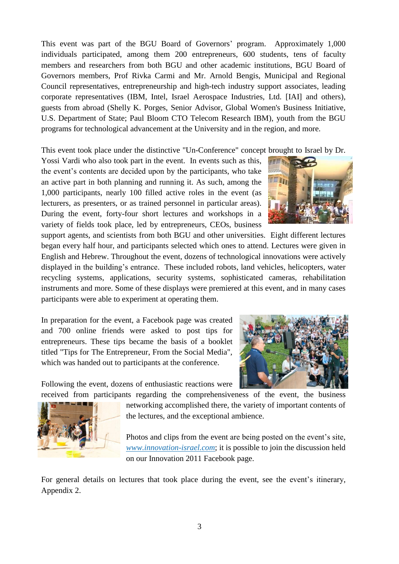This event was part of the BGU Board of Governors' program. Approximately 1,000 individuals participated, among them 200 entrepreneurs, 600 students, tens of faculty members and researchers from both BGU and other academic institutions, BGU Board of Governors members, Prof Rivka Carmi and Mr. Arnold Bengis, Municipal and Regional Council representatives, entrepreneurship and high-tech industry support associates, leading corporate representatives (IBM, Intel, Israel Aerospace Industries, Ltd. [IAI] and others), guests from abroad (Shelly K. Porges, Senior Advisor, Global Women's Business Initiative, U.S. Department of State; Paul Bloom CTO Telecom Research IBM), youth from the BGU programs for technological advancement at the University and in the region, and more.

This event took place under the distinctive "Un-Conference" concept brought to Israel by Dr.

Yossi Vardi who also took part in the event. In events such as this, the event's contents are decided upon by the participants, who take an active part in both planning and running it. As such, among the 1,000 participants, nearly 100 filled active roles in the event (as lecturers, as presenters, or as trained personnel in particular areas). During the event, forty-four short lectures and workshops in a variety of fields took place, led by entrepreneurs, CEOs, business



support agents, and scientists from both BGU and other universities. Eight different lectures began every half hour, and participants selected which ones to attend. Lectures were given in English and Hebrew. Throughout the event, dozens of technological innovations were actively displayed in the building's entrance. These included robots, land vehicles, helicopters, water recycling systems, applications, security systems, sophisticated cameras, rehabilitation instruments and more. Some of these displays were premiered at this event, and in many cases participants were able to experiment at operating them.

In preparation for the event, a Facebook page was created and 700 online friends were asked to post tips for entrepreneurs. These tips became the basis of a booklet titled "Tips for The Entrepreneur, From the Social Media", which was handed out to participants at the conference.

Following the event, dozens of enthusiastic reactions were





received from participants regarding the comprehensiveness of the event, the business networking accomplished there, the variety of important contents of the lectures, and the exceptional ambience.

> Photos and clips from the event are being posted on the event's site, *[www.innovation-israel.com](http://www.innovation-israel.com/)*; it is possible to join the discussion held on our Innovation 2011 Facebook page.

For general details on lectures that took place during the event, see the event's itinerary, Appendix 2.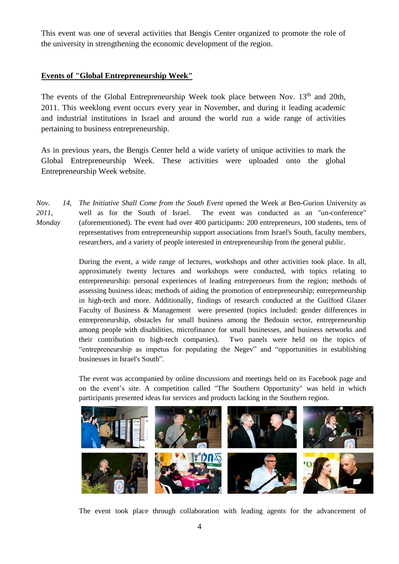This event was one of several activities that Bengis Center organized to promote the role of the university in strengthening the economic development of the region.

#### **Events of "Global Entrepreneurship Week"**

The events of the Global Entrepreneurship Week took place between Nov.  $13<sup>th</sup>$  and 20th, 2011. This weeklong event occurs every year in November, and during it leading academic and industrial institutions in Israel and around the world run a wide range of activities pertaining to business entrepreneurship.

As in previous years, the Bengis Center held a wide variety of unique activities to mark the Global Entrepreneurship Week. These activities were uploaded onto the global Entrepreneurship Week website.

*The Initiative Shall Come from the South Event* opened the Week at Ben-Gurion University as well as for the South of Israel. The event was conducted as an "un-conference" (aforementioned). The event had over 400 participants: 200 entrepreneurs, 100 students, tens of representatives from entrepreneurship support associations from Israel's South, faculty members, researchers, and a variety of people interested in entrepreneurship from the general public. *Nov. 14, 2011, Monday*

> During the event, a wide range of lectures, workshops and other activities took place. In all, approximately twenty lectures and workshops were conducted, with topics relating to entrepreneurship: personal experiences of leading entrepreneurs from the region; methods of assessing business ideas; methods of aiding the promotion of entrepreneurship; entrepreneurship in high-tech and more. Additionally, findings of research conducted at the Guilford Glazer Faculty of Business & Management were presented (topics included: gender differences in entrepreneurship, obstacles for small business among the Bedouin sector, entrepreneurship among people with disabilities, microfinance for small businesses, and business networks and their contribution to high-tech companies). Two panels were held on the topics of "entrepreneurship as impetus for populating the Negev" and "opportunities in establishing businesses in Israel's South".

> The event was accompanied by online discussions and meetings held on its Facebook page and on the event's site. A competition called "The Southern Opportunity" was held in which participants presented ideas for services and products lacking in the Southern region.



The event took place through collaboration with leading agents for the advancement of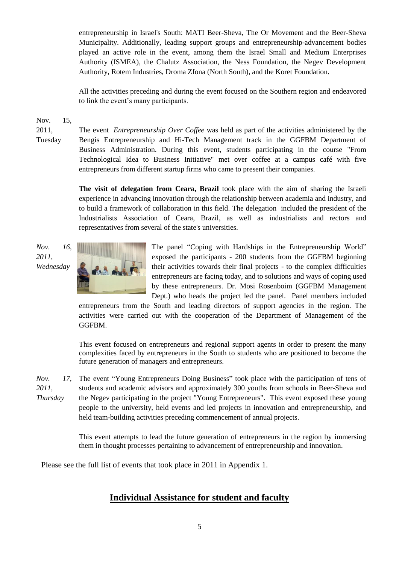entrepreneurship in Israel's South: MATI Beer-Sheva, The Or Movement and the Beer-Sheva Municipality. Additionally, leading support groups and entrepreneurship-advancement bodies played an active role in the event, among them the Israel Small and Medium Enterprises Authority (ISMEA), the Chalutz Association, the Ness Foundation, the Negev Development Authority, Rotem Industries, Droma Zfona (North South), and the Koret Foundation.

All the activities preceding and during the event focused on the Southern region and endeavored to link the event's many participants.

Nov. 15,

2011, Tuesday The event *Entrepreneurship Over Coffee* was held as part of the activities administered by the Bengis Entrepreneurship and Hi-Tech Management track in the GGFBM Department of Business Administration. During this event, students participating in the course "From Technological Idea to Business Initiative" met over coffee at a campus café with five entrepreneurs from different startup firms who came to present their companies.

**The visit of delegation from Ceara, Brazil** took place with the aim of sharing the Israeli experience in advancing innovation through the relationship between academia and industry, and to build a framework of collaboration in this field. The delegation included the president of the Industrialists Association of Ceara, Brazil, as well as industrialists and rectors and representatives from several of the state's universities.





The panel "Coping with Hardships in the Entrepreneurship World" exposed the participants - 200 students from the GGFBM beginning their activities towards their final projects - to the complex difficulties entrepreneurs are facing today, and to solutions and ways of coping used by these entrepreneurs. Dr. Mosi Rosenboim (GGFBM Management Dept.) who heads the project led the panel. Panel members included

entrepreneurs from the South and leading directors of support agencies in the region. The activities were carried out with the cooperation of the Department of Management of the GGFBM.

This event focused on entrepreneurs and regional support agents in order to present the many complexities faced by entrepreneurs in the South to students who are positioned to become the future generation of managers and entrepreneurs.

17. The event "Young Entrepreneurs Doing Business" took place with the participation of tens of students and academic advisors and approximately 300 youths from schools in Beer-Sheva and the Negev participating in the project "Young Entrepreneurs". This event exposed these young people to the university, held events and led projects in innovation and entrepreneurship, and held team-building activities preceding commencement of annual projects. *Nov. 2011, Thursday*

> This event attempts to lead the future generation of entrepreneurs in the region by immersing them in thought processes pertaining to advancement of entrepreneurship and innovation.

Please see the full list of events that took place in 2011 in Appendix 1.

## **Individual Assistance for student and faculty**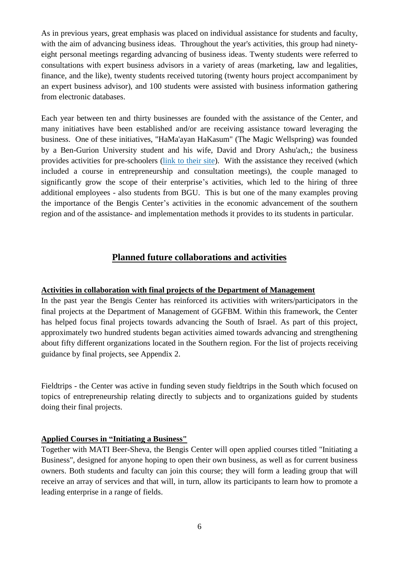As in previous years, great emphasis was placed on individual assistance for students and faculty, with the aim of advancing business ideas. Throughout the year's activities, this group had ninetyeight personal meetings regarding advancing of business ideas. Twenty students were referred to consultations with expert business advisors in a variety of areas (marketing, law and legalities, finance, and the like), twenty students received tutoring (twenty hours project accompaniment by an expert business advisor), and 100 students were assisted with business information gathering from electronic databases.

Each year between ten and thirty businesses are founded with the assistance of the Center, and many initiatives have been established and/or are receiving assistance toward leveraging the business. One of these initiatives, "HaMa'ayan HaKasum" (The Magic Wellspring) was founded by a Ben-Gurion University student and his wife, David and Drory Ashu'ach,; the business provides activities for pre-schoolers [\(link to their site\)](http://www.maayandrory.com/). With the assistance they received (which included a course in entrepreneurship and consultation meetings), the couple managed to significantly grow the scope of their enterprise's activities, which led to the hiring of three additional employees - also students from BGU. This is but one of the many examples proving the importance of the Bengis Center's activities in the economic advancement of the southern region and of the assistance- and implementation methods it provides to its students in particular.

## **Planned future collaborations and activities**

#### **Activities in collaboration with final projects of the Department of Management**

In the past year the Bengis Center has reinforced its activities with writers/participators in the final projects at the Department of Management of GGFBM. Within this framework, the Center has helped focus final projects towards advancing the South of Israel. As part of this project, approximately two hundred students began activities aimed towards advancing and strengthening about fifty different organizations located in the Southern region. For the list of projects receiving guidance by final projects, see Appendix 2.

Fieldtrips - the Center was active in funding seven study fieldtrips in the South which focused on topics of entrepreneurship relating directly to subjects and to organizations guided by students doing their final projects.

### **Applied Courses in "Initiating a Business"**

Together with MATI Beer-Sheva, the Bengis Center will open applied courses titled "Initiating a Business", designed for anyone hoping to open their own business, as well as for current business owners. Both students and faculty can join this course; they will form a leading group that will receive an array of services and that will, in turn, allow its participants to learn how to promote a leading enterprise in a range of fields.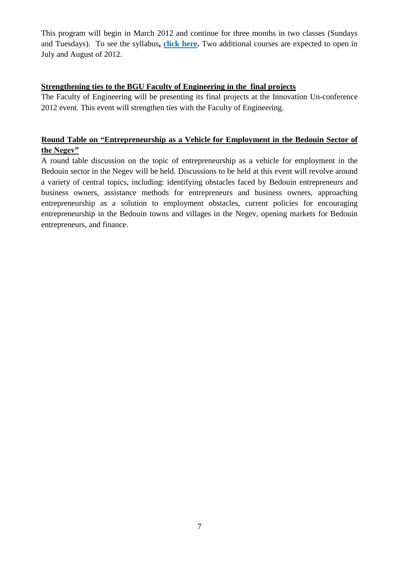This program will begin in March 2012 and continue for three months in two classes (Sundays and Tuesdays). To see the syllabus**, [click here.](http://www.bengis.org/86260/%D7%A7%D7%95%D7%A8%D7%A1-%D7%99%D7%95%D7%96%D7%9E%D7%99%D7%9D-%D7%A2%D7%A1%D7%A7)** Two additional courses are expected to open in July and August of 2012.

#### **Strengthening ties to the BGU Faculty of Engineering in the final projects**

The Faculty of Engineering will be presenting its final projects at the Innovation Un-conference 2012 event. This event will strengthen ties with the Faculty of Engineering.

### **Round Table on "Entrepreneurship as a Vehicle for Employment in the Bedouin Sector of the Negev"**

A round table discussion on the topic of entrepreneurship as a vehicle for employment in the Bedouin sector in the Negev will be held. Discussions to be held at this event will revolve around a variety of central topics, including: identifying obstacles faced by Bedouin entrepreneurs and business owners, assistance methods for entrepreneurs and business owners, approaching entrepreneurship as a solution to employment obstacles, current policies for encouraging entrepreneurship in the Bedouin towns and villages in the Negev, opening markets for Bedouin entrepreneurs, and finance.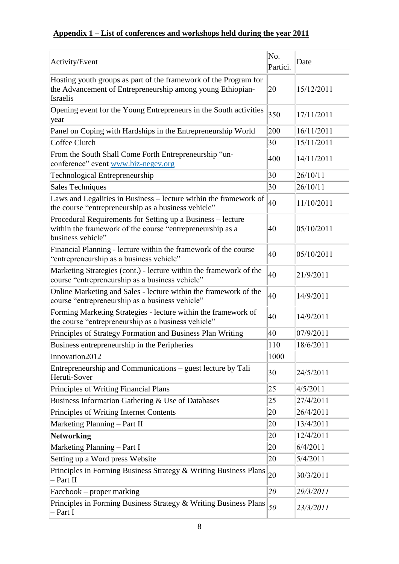## **Appendix 1 – List of conferences and workshops held during the year 2011**

| Activity/Event                                                                                                                                | No.<br>Partici. | Date       |
|-----------------------------------------------------------------------------------------------------------------------------------------------|-----------------|------------|
| Hosting youth groups as part of the framework of the Program for<br>the Advancement of Entrepreneurship among young Ethiopian-<br>Israelis    | 20              | 15/12/2011 |
| Opening event for the Young Entrepreneurs in the South activities<br>year                                                                     | 350             | 17/11/2011 |
| Panel on Coping with Hardships in the Entrepreneurship World                                                                                  | 200             | 16/11/2011 |
| Coffee Clutch                                                                                                                                 | 30              | 15/11/2011 |
| From the South Shall Come Forth Entrepreneurship "un-<br>conference" event www.biz-negev.org                                                  | 400             | 14/11/2011 |
| Technological Entrepreneurship                                                                                                                | 30              | 26/10/11   |
| <b>Sales Techniques</b>                                                                                                                       | 30              | 26/10/11   |
| Laws and Legalities in Business - lecture within the framework of<br>the course "entrepreneurship as a business vehicle"                      | 40              | 11/10/2011 |
| Procedural Requirements for Setting up a Business - lecture<br>within the framework of the course "entrepreneurship as a<br>business vehicle" | 40              | 05/10/2011 |
| Financial Planning - lecture within the framework of the course<br>'entrepreneurship as a business vehicle"                                   | 40              | 05/10/2011 |
| Marketing Strategies (cont.) - lecture within the framework of the<br>course "entrepreneurship as a business vehicle"                         | 40              | 21/9/2011  |
| Online Marketing and Sales - lecture within the framework of the<br>course "entrepreneurship as a business vehicle"                           | 40              | 14/9/2011  |
| Forming Marketing Strategies - lecture within the framework of<br>the course "entrepreneurship as a business vehicle"                         | 40              | 14/9/2011  |
| Principles of Strategy Formation and Business Plan Writing                                                                                    | 40              | 07/9/2011  |
| Business entrepreneurship in the Peripheries                                                                                                  | 110             | 18/6/2011  |
| Innovation2012                                                                                                                                | 1000            |            |
| Entrepreneurship and Communications – guest lecture by Tali<br>Heruti-Sover                                                                   | 30              | 24/5/2011  |
| Principles of Writing Financial Plans                                                                                                         | 25              | 4/5/2011   |
| Business Information Gathering & Use of Databases                                                                                             | 25              | 27/4/2011  |
| Principles of Writing Internet Contents                                                                                                       | 20              | 26/4/2011  |
| Marketing Planning - Part II                                                                                                                  | 20              | 13/4/2011  |
| <b>Networking</b>                                                                                                                             | 20              | 12/4/2011  |
| Marketing Planning - Part I                                                                                                                   | 20              | 6/4/2011   |
| Setting up a Word press Website                                                                                                               | 20              | 5/4/2011   |
| Principles in Forming Business Strategy & Writing Business Plans<br>Part II                                                                   | 20              | 30/3/2011  |
| Facebook – proper marking                                                                                                                     | 20              | 29/3/2011  |
| Principles in Forming Business Strategy & Writing Business Plans<br>Part I                                                                    | 50              | 23/3/2011  |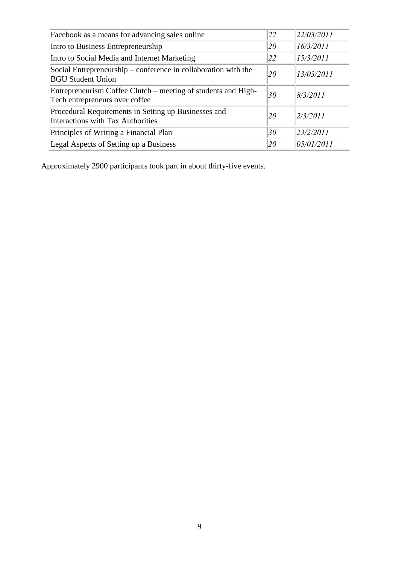| Facebook as a means for advancing sales online                                                  | 22 | 22/03/2011 |
|-------------------------------------------------------------------------------------------------|----|------------|
| Intro to Business Entrepreneurship                                                              | 20 | 16/3/2011  |
| Intro to Social Media and Internet Marketing                                                    | 22 | 15/3/2011  |
| Social Entrepreneurship – conference in collaboration with the<br><b>BGU Student Union</b>      | 20 | 13/03/2011 |
| Entrepreneurism Coffee Clutch – meeting of students and High-<br>Tech entrepreneurs over coffee | 30 | 8/3/2011   |
| Procedural Requirements in Setting up Businesses and<br>Interactions with Tax Authorities       | 20 | 2/3/2011   |
| Principles of Writing a Financial Plan                                                          | 30 | 23/2/2011  |
| Legal Aspects of Setting up a Business                                                          | 20 | 05/01/2011 |

Approximately 2900 participants took part in about thirty-five events.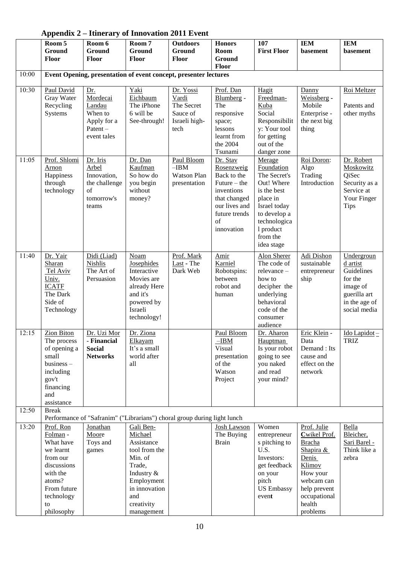| Appendix $2-$ itinerary of innovation 2011 Event |                                                                  |                            |                                                                                       |                          |                               |                               |                              |                               |
|--------------------------------------------------|------------------------------------------------------------------|----------------------------|---------------------------------------------------------------------------------------|--------------------------|-------------------------------|-------------------------------|------------------------------|-------------------------------|
|                                                  | Room 5                                                           | Room 6                     | Room 7                                                                                | <b>Outdoors</b>          | <b>Honors</b>                 | 107                           | <b>IEM</b>                   | <b>IEM</b>                    |
|                                                  | Ground<br>Floor                                                  | Ground<br><b>Floor</b>     | Ground<br>Floor                                                                       | Ground<br>Floor          | Room<br>Ground                | <b>First Floor</b>            | basement                     | basement                      |
|                                                  |                                                                  |                            |                                                                                       |                          | Floor                         |                               |                              |                               |
| 10:00                                            | Event Opening, presentation of event concept, presenter lectures |                            |                                                                                       |                          |                               |                               |                              |                               |
| 10:30                                            | Paul David                                                       | Dr.                        | Yaki                                                                                  | Dr. Yossi                | Prof. Dan                     | Hagit                         | Danny                        | Roi Meltzer                   |
|                                                  | Gray Water                                                       | Mordecai                   | Eichbaum                                                                              | Vardi                    | Blumberg -                    | Freedman-                     | Weissberg -                  |                               |
|                                                  | Recycling<br>Systems                                             | Landau<br>When to          | The iPhone<br>6 will be                                                               | The Secret<br>Sauce of   | The                           | Kuba<br>Social                | Mobile                       | Patents and                   |
|                                                  |                                                                  | Apply for a                | See-through!                                                                          | Israeli high-            | responsive<br>space;          | Responsibilit                 | Enterprise -<br>the next big | other myths                   |
|                                                  |                                                                  | Patent-                    |                                                                                       | tech                     | lessons                       | y: Your tool                  | thing                        |                               |
|                                                  |                                                                  | event tales                |                                                                                       |                          | learnt from                   | for getting                   |                              |                               |
|                                                  |                                                                  |                            |                                                                                       |                          | the 2004                      | out of the                    |                              |                               |
| 11:05                                            | Prof. Shlomi                                                     | Dr. Iris                   | Dr. Dan                                                                               | Paul Bloom               | Tsunami<br>Dr. Stav           | danger zone<br>Merage         | Roi Doron:                   | Dr. Robert                    |
|                                                  | Arnon                                                            | Arbel                      | Kaufman                                                                               | $-IBM$                   | Rosenzweig                    | Foundation                    | Algo                         | Moskowitz                     |
|                                                  | Happiness                                                        | Innovation,                | So how do                                                                             | <b>Watson Plan</b>       | Back to the                   | The Secret's                  | Trading                      | QiSec                         |
|                                                  | through                                                          | the challenge              | you begin                                                                             | presentation             | Future $-$ the                | Out! Where                    | Introduction                 | Security as a                 |
|                                                  | technology                                                       | $\sigma$ f                 | without                                                                               |                          | inventions                    | is the best                   |                              | Service at                    |
|                                                  |                                                                  | tomorrow's<br>teams        | money?                                                                                |                          | that changed<br>our lives and | place in<br>Israel today      |                              | Your Finger<br><b>Tips</b>    |
|                                                  |                                                                  |                            |                                                                                       |                          | future trends                 | to develop a                  |                              |                               |
|                                                  |                                                                  |                            |                                                                                       |                          | of                            | technologica                  |                              |                               |
|                                                  |                                                                  |                            |                                                                                       |                          | innovation                    | 1 product                     |                              |                               |
|                                                  |                                                                  |                            |                                                                                       |                          |                               | from the<br>idea stage        |                              |                               |
|                                                  |                                                                  |                            |                                                                                       |                          |                               |                               |                              |                               |
| 11:40                                            | Dr. Yair<br>Sharan                                               | Didi (Liad)<br>Nishlis     | Noam<br><b>Josephides</b>                                                             | Prof. Mark<br>Last - The | Amir<br>Karniel               | Alon Sherer<br>The code of    | Adi Dishon<br>sustainable    | Undergroun<br>d artist        |
|                                                  | Tel Aviv                                                         | The Art of                 | Interactive                                                                           | Dark Web                 | Robotspins:                   | relevance-                    | entrepreneur                 | Guidelines                    |
|                                                  | Univ.                                                            | Persuasion                 | Movies are                                                                            |                          | between                       | how to                        | ship                         | for the                       |
|                                                  | <b>ICATF</b>                                                     |                            | already Here                                                                          |                          | robot and                     | decipher the                  |                              | image of                      |
|                                                  | The Dark<br>Side of                                              |                            | and it's<br>powered by                                                                |                          | human                         | underlying<br>behavioral      |                              | guerilla art<br>in the age of |
|                                                  | Technology                                                       |                            | Israeli                                                                               |                          |                               | code of the                   |                              | social media                  |
|                                                  |                                                                  |                            | technology!                                                                           |                          |                               | consumer                      |                              |                               |
|                                                  |                                                                  |                            |                                                                                       |                          |                               | audience                      |                              |                               |
| 12:15                                            | Zion Biton<br>The process                                        | Dr. Uzi Mor<br>- Financial | Dr. Ziona                                                                             |                          | Paul Bloom<br>$-IBM$          | Dr. Aharon<br><b>Hauptman</b> | Eric Klein -<br>Data         | Ido Lapidot-<br><b>TRIZ</b>   |
|                                                  | of opening a                                                     | <b>Social</b>              | Elkayam<br>It's a small                                                               |                          | Visual                        | Is your robot                 | Demand: Its                  |                               |
|                                                  | small                                                            | <b>Networks</b>            | world after                                                                           |                          | presentation                  | going to see                  | cause and                    |                               |
|                                                  | business-                                                        |                            | all                                                                                   |                          | of the                        | you naked                     | effect on the                |                               |
|                                                  | including                                                        |                            |                                                                                       |                          | Watson<br>Project             | and read                      | network                      |                               |
|                                                  | gov't<br>financing                                               |                            |                                                                                       |                          |                               | your mind?                    |                              |                               |
|                                                  | and                                                              |                            |                                                                                       |                          |                               |                               |                              |                               |
|                                                  | assistance                                                       |                            |                                                                                       |                          |                               |                               |                              |                               |
| 12:50                                            | <b>Break</b>                                                     |                            |                                                                                       |                          |                               |                               |                              |                               |
| 13:20                                            | Prof. Ron                                                        | Jonathan                   | Performance of "Safranim" ("Librarians") choral group during light lunch<br>Gali Ben- |                          | <b>Josh Lawson</b>            | Women                         | Prof. Julie                  | Bella                         |
|                                                  | Folman -                                                         | Moore                      | Michael                                                                               |                          | The Buying                    | entrepreneur                  | Cwikel Prof.                 | Bleicher,                     |
|                                                  | What have                                                        | Toys and                   | Assistance                                                                            |                          | <b>Brain</b>                  | s pitching to                 | <b>Bracha</b>                | Sari Barel -                  |
|                                                  | we learnt                                                        | games                      | tool from the                                                                         |                          |                               | U.S.                          | Shapira &                    | Think like a                  |
|                                                  | from our                                                         |                            | Min. of                                                                               |                          |                               | Investors:                    | Denis                        | zebra                         |
|                                                  | discussions<br>with the                                          |                            | Trade,<br>Industry &                                                                  |                          |                               | get feedback<br>on your       | Klimov<br>How your           |                               |
|                                                  | atoms?                                                           |                            | Employment                                                                            |                          |                               | pitch                         | webcam can                   |                               |
|                                                  | From future                                                      |                            | in innovation                                                                         |                          |                               | <b>US Embassy</b>             | help prevent                 |                               |
|                                                  | technology                                                       |                            | and                                                                                   |                          |                               | event                         | occupational                 |                               |
|                                                  | to<br>philosophy                                                 |                            | creativity<br>management                                                              |                          |                               |                               | health<br>problems           |                               |
|                                                  |                                                                  |                            |                                                                                       |                          |                               |                               |                              |                               |

#### **Appendix 2 – Itinerary of Innovation 2011 Event**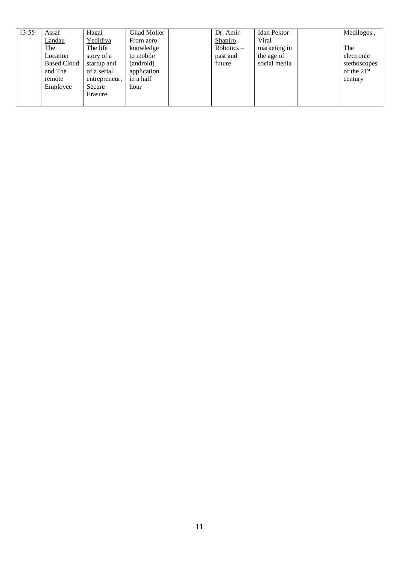| 13:55 | Assaf              | Hagai         | Gilad Moller | Dr. Amir     | <b>Idan Pektor</b> | Medilogos,    |
|-------|--------------------|---------------|--------------|--------------|--------------------|---------------|
|       | Landau             | Yedidiya      | From zero    | Shapiro      | Viral              |               |
|       | The                | The life      | knowledge    | $Robotics -$ | marketing in       | The           |
|       | Location           | story of a    | to mobile    | past and     | the age of         | electronic    |
|       | <b>Based Cloud</b> | startup and   | (android)    | future       | social media       | stethoscopes  |
|       | and The            | of a serial   | application  |              |                    | of the $21st$ |
|       | remote             | entrepreneur, | in a half    |              |                    | century       |
|       | Employee           | Secure        | hour         |              |                    |               |
|       |                    | Erasure       |              |              |                    |               |
|       |                    |               |              |              |                    |               |